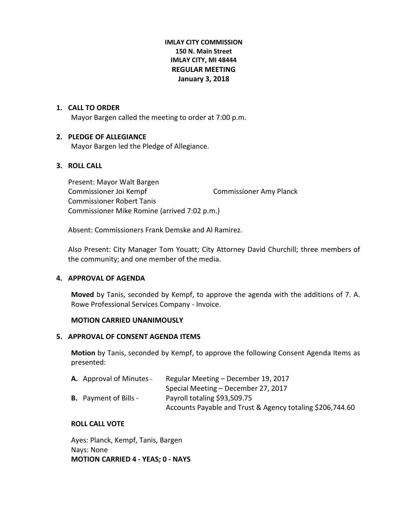# **IMLAY CITY COMMISSION 150 N. Main Street IMLAY CITY, MI 48444 REGULAR MEETING January 3, 2018**

### **1. CALL TO ORDER**

Mayor Bargen called the meeting to order at 7:00 p.m.

### **2. PLEDGE OF ALLEGIANCE**

Mayor Bargen led the Pledge of Allegiance.

# **3. ROLL CALL**

Present: Mayor Walt Bargen Commissioner Joi Kempf Commissioner Amy Planck Commissioner Robert Tanis Commissioner Mike Romine (arrived 7:02 p.m.)

Absent: Commissioners Frank Demske and Al Ramirez.

Also Present: City Manager Tom Youatt; City Attorney David Churchill; three members of the community; and one member of the media.

### **4. APPROVAL OF AGENDA**

**Moved** by Tanis, seconded by Kempf, to approve the agenda with the additions of 7. A. Rowe Professional Services Company - Invoice.

### **MOTION CARRIED UNANIMOUSLY**

### **5. APPROVAL OF CONSENT AGENDA ITEMS**

**Motion** by Tanis, seconded by Kempf, to approve the following Consent Agenda Items as presented:

| <b>A.</b> Approval of Minutes – | Regular Meeting – December 19, 2017                       |
|---------------------------------|-----------------------------------------------------------|
|                                 | Special Meeting – December 27, 2017                       |
| <b>B.</b> Payment of Bills -    | Payroll totaling \$93,509.75                              |
|                                 | Accounts Payable and Trust & Agency totaling \$206,744.60 |

### **ROLL CALL VOTE**

Ayes: Planck, Kempf, Tanis, Bargen Nays: None **MOTION CARRIED 4 - YEAS; 0 - NAYS**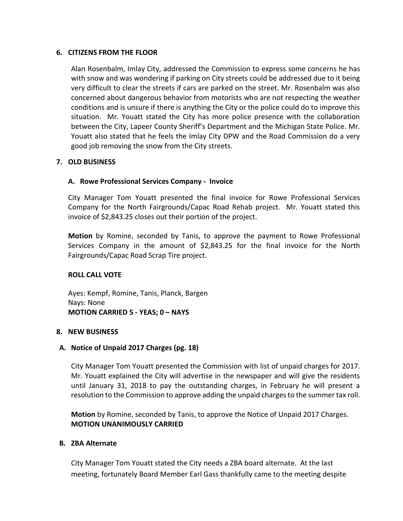### **6. CITIZENS FROM THE FLOOR**

Alan Rosenbalm, Imlay City, addressed the Commission to express some concerns he has with snow and was wondering if parking on City streets could be addressed due to it being very difficult to clear the streets if cars are parked on the street. Mr. Rosenbalm was also concerned about dangerous behavior from motorists who are not respecting the weather conditions and is unsure if there is anything the City or the police could do to improve this situation. Mr. Youatt stated the City has more police presence with the collaboration between the City, Lapeer County Sheriff's Department and the Michigan State Police. Mr. Youatt also stated that he feels the Imlay City DPW and the Road Commission do a very good job removing the snow from the City streets.

# **7. OLD BUSINESS**

# **A. Rowe Professional Services Company - Invoice**

City Manager Tom Youatt presented the final invoice for Rowe Professional Services Company for the North Fairgrounds/Capac Road Rehab project. Mr. Youatt stated this invoice of \$2,843.25 closes out their portion of the project.

**Motion** by Romine, seconded by Tanis, to approve the payment to Rowe Professional Services Company in the amount of \$2,843.25 for the final invoice for the North Fairgrounds/Capac Road Scrap Tire project.

### **ROLL CALL VOTE**

Ayes: Kempf, Romine, Tanis, Planck, Bargen Nays: None **MOTION CARRIED 5 - YEAS; 0 – NAYS**

### **8. NEW BUSINESS**

### **A. Notice of Unpaid 2017 Charges (pg. 18)**

City Manager Tom Youatt presented the Commission with list of unpaid charges for 2017. Mr. Youatt explained the City will advertise in the newspaper and will give the residents until January 31, 2018 to pay the outstanding charges, in February he will present a resolution to the Commission to approve adding the unpaid charges to the summer tax roll.

**Motion** by Romine, seconded by Tanis, to approve the Notice of Unpaid 2017 Charges. **MOTION UNANIMOUSLY CARRIED**

### **B. ZBA Alternate**

City Manager Tom Youatt stated the City needs a ZBA board alternate. At the last meeting, fortunately Board Member Earl Gass thankfully came to the meeting despite